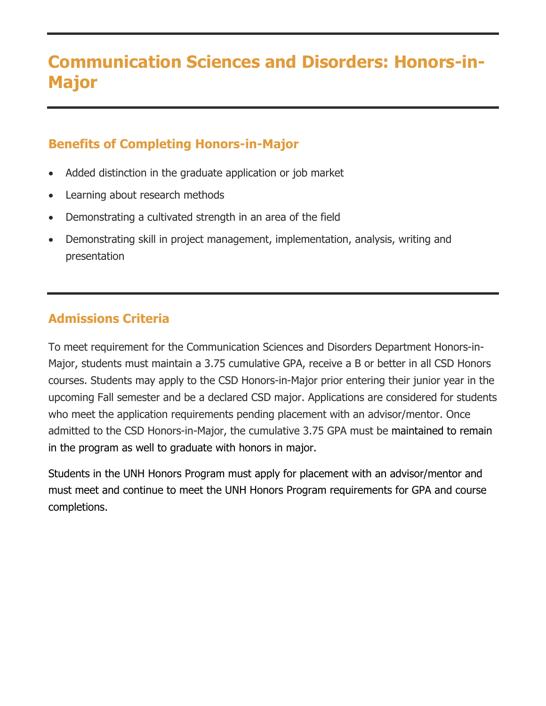# **Communication Sciences and Disorders: Honors-in-Major**

# **Benefits of Completing Honors-in-Major**

- Added distinction in the graduate application or job market
- Learning about research methods
- Demonstrating a cultivated strength in an area of the field
- Demonstrating skill in project management, implementation, analysis, writing and presentation

# **Admissions Criteria**

To meet requirement for the Communication Sciences and Disorders Department Honors-in-Major, students must maintain a 3.75 cumulative GPA, receive a B or better in all CSD Honors courses. Students may apply to the CSD Honors-in-Major prior entering their junior year in the upcoming Fall semester and be a declared CSD major. Applications are considered for students who meet the application requirements pending placement with an advisor/mentor. Once admitted to the CSD Honors-in-Major, the cumulative 3.75 GPA must be maintained to remain in the program as well to graduate with honors in major.

Students in the UNH Honors Program must apply for placement with an advisor/mentor and must meet and continue to meet the UNH Honors Program requirements for GPA and course completions.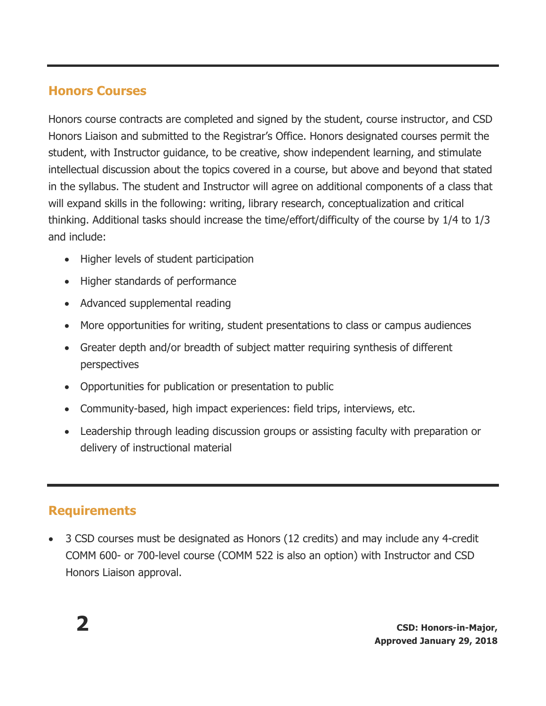### **Honors Courses**

Honors course contracts are completed and signed by the student, course instructor, and CSD Honors Liaison and submitted to the Registrar's Office. Honors designated courses permit the student, with Instructor guidance, to be creative, show independent learning, and stimulate intellectual discussion about the topics covered in a course, but above and beyond that stated in the syllabus. The student and Instructor will agree on additional components of a class that will expand skills in the following: writing, library research, conceptualization and critical thinking. Additional tasks should increase the time/effort/difficulty of the course by 1/4 to 1/3 and include:

- Higher levels of student participation
- Higher standards of performance
- Advanced supplemental reading
- More opportunities for writing, student presentations to class or campus audiences
- Greater depth and/or breadth of subject matter requiring synthesis of different perspectives
- Opportunities for publication or presentation to public
- Community-based, high impact experiences: field trips, interviews, etc.
- Leadership through leading discussion groups or assisting faculty with preparation or delivery of instructional material

# **Requirements**

• 3 CSD courses must be designated as Honors (12 credits) and may include any 4-credit COMM 600- or 700-level course (COMM 522 is also an option) with Instructor and CSD Honors Liaison approval.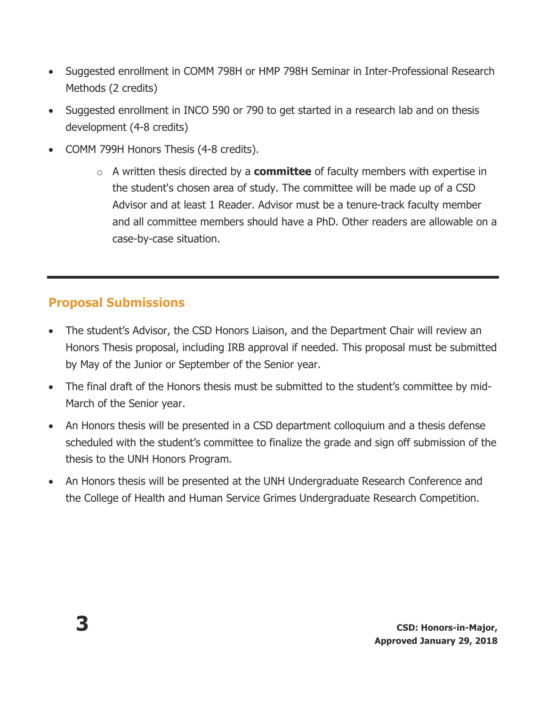- Suggested enrollment in COMM 798H or HMP 798H Seminar in Inter-Professional Research Methods (2 credits)
- Suggested enrollment in INCO 590 or 790 to get started in a research lab and on thesis development (4-8 credits)
- COMM 799H Honors Thesis (4-8 credits).
	- o A written thesis directed by a **committee** of faculty members with expertise in the student's chosen area of study. The committee will be made up of a CSD Advisor and at least 1 Reader. Advisor must be a tenure-track faculty member and all committee members should have a PhD. Other readers are allowable on a case-by-case situation.

# **Proposal Submissions**

- The student's Advisor, the CSD Honors Liaison, and the Department Chair will review an Honors Thesis proposal, including IRB approval if needed. This proposal must be submitted by May of the Junior or September of the Senior year.
- The final draft of the Honors thesis must be submitted to the student's committee by mid-March of the Senior year.
- An Honors thesis will be presented in a CSD department colloquium and a thesis defense scheduled with the student's committee to finalize the grade and sign off submission of the thesis to the UNH Honors Program.
- An Honors thesis will be presented at the UNH Undergraduate Research Conference and the College of Health and Human Service Grimes Undergraduate Research Competition.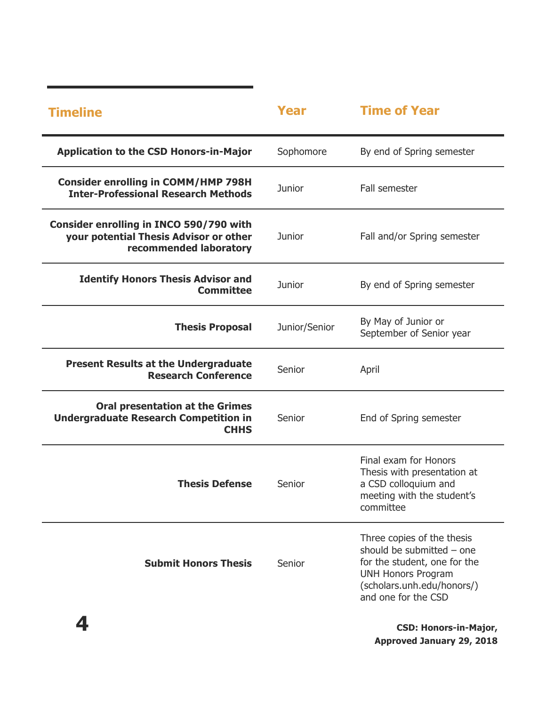| <b>Timeline</b>                                                                                             | Year          | <b>Time of Year</b>                                                                                                                                                       |
|-------------------------------------------------------------------------------------------------------------|---------------|---------------------------------------------------------------------------------------------------------------------------------------------------------------------------|
| <b>Application to the CSD Honors-in-Major</b>                                                               | Sophomore     | By end of Spring semester                                                                                                                                                 |
| <b>Consider enrolling in COMM/HMP 798H</b><br><b>Inter-Professional Research Methods</b>                    | Junior        | Fall semester                                                                                                                                                             |
| Consider enrolling in INCO 590/790 with<br>your potential Thesis Advisor or other<br>recommended laboratory | Junior        | Fall and/or Spring semester                                                                                                                                               |
| <b>Identify Honors Thesis Advisor and</b><br><b>Committee</b>                                               | Junior        | By end of Spring semester                                                                                                                                                 |
| <b>Thesis Proposal</b>                                                                                      | Junior/Senior | By May of Junior or<br>September of Senior year                                                                                                                           |
| <b>Present Results at the Undergraduate</b><br><b>Research Conference</b>                                   | Senior        | April                                                                                                                                                                     |
| <b>Oral presentation at the Grimes</b><br><b>Undergraduate Research Competition in</b><br><b>CHHS</b>       | Senior        | End of Spring semester                                                                                                                                                    |
| <b>Thesis Defense</b>                                                                                       | Senior        | Final exam for Honors<br>Thesis with presentation at<br>a CSD colloquium and<br>meeting with the student's<br>committee                                                   |
| <b>Submit Honors Thesis</b>                                                                                 | Senior        | Three copies of the thesis<br>should be submitted - one<br>for the student, one for the<br><b>UNH Honors Program</b><br>(scholars.unh.edu/honors/)<br>and one for the CSD |
| 4                                                                                                           |               | <b>CSD: Honors-in-Major,</b>                                                                                                                                              |

**Approved January 29, 2018**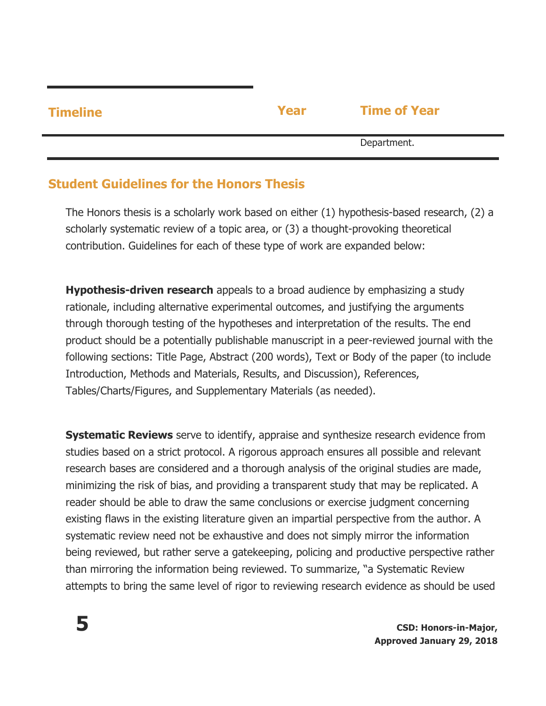| <b>Timeline</b> | Year | <b>Time of Year</b> |  |
|-----------------|------|---------------------|--|
|                 |      | Department.         |  |

### **Student Guidelines for the Honors Thesis**

The Honors thesis is a scholarly work based on either (1) hypothesis-based research, (2) a scholarly systematic review of a topic area, or (3) a thought-provoking theoretical contribution. Guidelines for each of these type of work are expanded below:

**Hypothesis-driven research** appeals to a broad audience by emphasizing a study rationale, including alternative experimental outcomes, and justifying the arguments through thorough testing of the hypotheses and interpretation of the results. The end product should be a potentially publishable manuscript in a peer-reviewed journal with the following sections: Title Page, Abstract (200 words), Text or Body of the paper (to include Introduction, Methods and Materials, Results, and Discussion), References, Tables/Charts/Figures, and Supplementary Materials (as needed).

**Systematic Reviews** serve to identify, appraise and synthesize research evidence from studies based on a strict protocol. A rigorous approach ensures all possible and relevant research bases are considered and a thorough analysis of the original studies are made, minimizing the risk of bias, and providing a transparent study that may be replicated. A reader should be able to draw the same conclusions or exercise judgment concerning existing flaws in the existing literature given an impartial perspective from the author. A systematic review need not be exhaustive and does not simply mirror the information being reviewed, but rather serve a gatekeeping, policing and productive perspective rather than mirroring the information being reviewed. To summarize, "a Systematic Review attempts to bring the same level of rigor to reviewing research evidence as should be used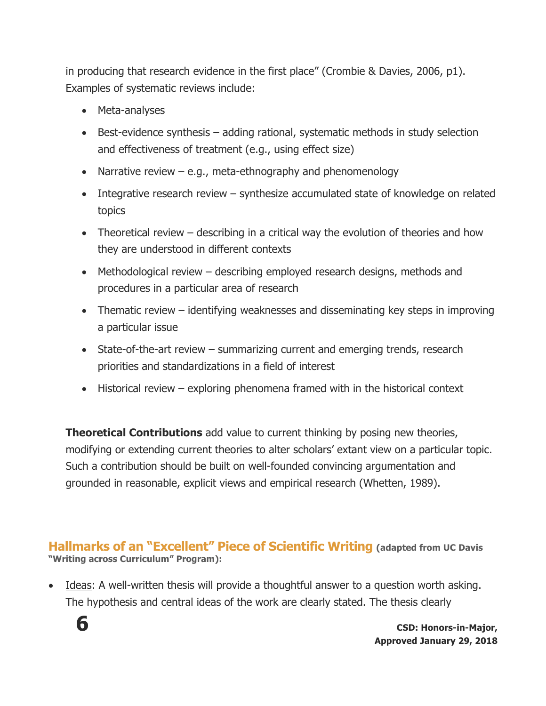in producing that research evidence in the first place" (Crombie & Davies, 2006, p1). Examples of systematic reviews include:

- Meta-analyses
- Best-evidence synthesis adding rational, systematic methods in study selection and effectiveness of treatment (e.g., using effect size)
- Narrative review e.g., meta-ethnography and phenomenology
- Integrative research review synthesize accumulated state of knowledge on related topics
- Theoretical review describing in a critical way the evolution of theories and how they are understood in different contexts
- Methodological review describing employed research designs, methods and procedures in a particular area of research
- Thematic review identifying weaknesses and disseminating key steps in improving a particular issue
- State-of-the-art review summarizing current and emerging trends, research priorities and standardizations in a field of interest
- Historical review exploring phenomena framed with in the historical context

**Theoretical Contributions** add value to current thinking by posing new theories, modifying or extending current theories to alter scholars' extant view on a particular topic. Such a contribution should be built on well-founded convincing argumentation and grounded in reasonable, explicit views and empirical research (Whetten, 1989).

**Hallmarks of an "Excellent" Piece of Scientific Writing (adapted from UC Davis "Writing across Curriculum" Program):**

• Ideas: A well-written thesis will provide a thoughtful answer to a question worth asking. The hypothesis and central ideas of the work are clearly stated. The thesis clearly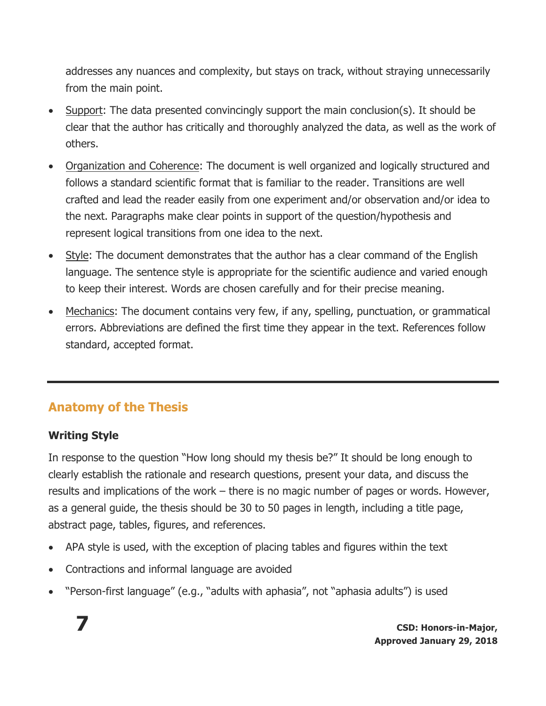addresses any nuances and complexity, but stays on track, without straying unnecessarily from the main point.

- Support: The data presented convincingly support the main conclusion(s). It should be clear that the author has critically and thoroughly analyzed the data, as well as the work of others.
- Organization and Coherence: The document is well organized and logically structured and follows a standard scientific format that is familiar to the reader. Transitions are well crafted and lead the reader easily from one experiment and/or observation and/or idea to the next. Paragraphs make clear points in support of the question/hypothesis and represent logical transitions from one idea to the next.
- Style: The document demonstrates that the author has a clear command of the English language. The sentence style is appropriate for the scientific audience and varied enough to keep their interest. Words are chosen carefully and for their precise meaning.
- Mechanics: The document contains very few, if any, spelling, punctuation, or grammatical errors. Abbreviations are defined the first time they appear in the text. References follow standard, accepted format.

# **Anatomy of the Thesis**

#### **Writing Style**

In response to the question "How long should my thesis be?" It should be long enough to clearly establish the rationale and research questions, present your data, and discuss the results and implications of the work – there is no magic number of pages or words. However, as a general guide, the thesis should be 30 to 50 pages in length, including a title page, abstract page, tables, figures, and references.

- APA style is used, with the exception of placing tables and figures within the text
- Contractions and informal language are avoided
- "Person-first language" (e.g., "adults with aphasia", not "aphasia adults") is used

**7 CSD: Honors-in-Major, Approved January 29, 2018**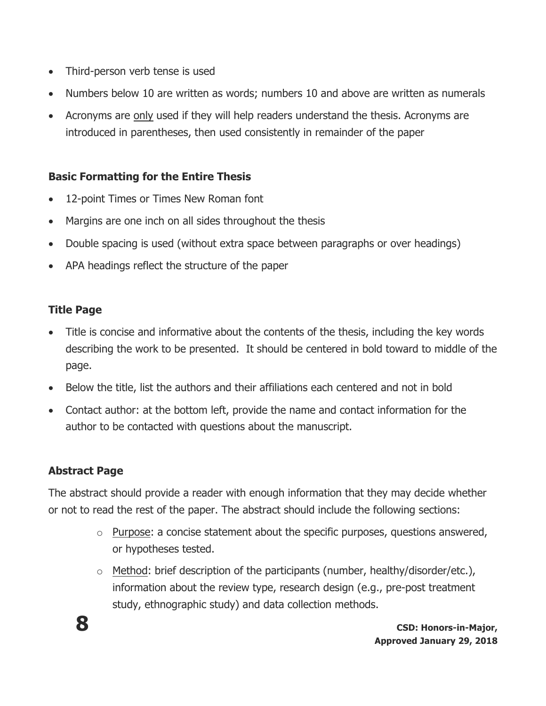- Third-person verb tense is used
- Numbers below 10 are written as words; numbers 10 and above are written as numerals
- Acronyms are only used if they will help readers understand the thesis. Acronyms are introduced in parentheses, then used consistently in remainder of the paper

#### **Basic Formatting for the Entire Thesis**

- 12-point Times or Times New Roman font
- Margins are one inch on all sides throughout the thesis
- Double spacing is used (without extra space between paragraphs or over headings)
- APA headings reflect the structure of the paper

#### **Title Page**

- Title is concise and informative about the contents of the thesis, including the key words describing the work to be presented. It should be centered in bold toward to middle of the page.
- Below the title, list the authors and their affiliations each centered and not in bold
- Contact author: at the bottom left, provide the name and contact information for the author to be contacted with questions about the manuscript.

#### **Abstract Page**

The abstract should provide a reader with enough information that they may decide whether or not to read the rest of the paper. The abstract should include the following sections:

- o Purpose: a concise statement about the specific purposes, questions answered, or hypotheses tested.
- $\circ$  Method: brief description of the participants (number, healthy/disorder/etc.), information about the review type, research design (e.g., pre-post treatment study, ethnographic study) and data collection methods.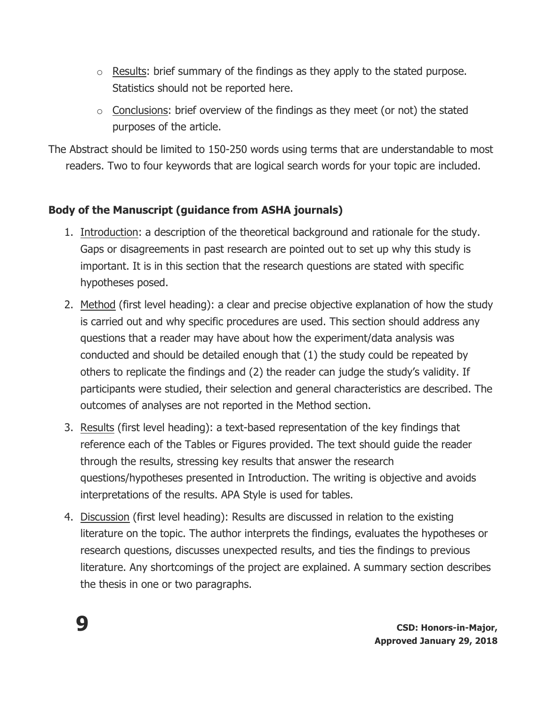- o Results: brief summary of the findings as they apply to the stated purpose. Statistics should not be reported here.
- $\circ$  Conclusions: brief overview of the findings as they meet (or not) the stated purposes of the article.

The Abstract should be limited to 150-250 words using terms that are understandable to most readers. Two to four keywords that are logical search words for your topic are included.

### **Body of the Manuscript (guidance from ASHA journals)**

- 1. Introduction: a description of the theoretical background and rationale for the study. Gaps or disagreements in past research are pointed out to set up why this study is important. It is in this section that the research questions are stated with specific hypotheses posed.
- 2. Method (first level heading): a clear and precise objective explanation of how the study is carried out and why specific procedures are used. This section should address any questions that a reader may have about how the experiment/data analysis was conducted and should be detailed enough that (1) the study could be repeated by others to replicate the findings and (2) the reader can judge the study's validity. If participants were studied, their selection and general characteristics are described. The outcomes of analyses are not reported in the Method section.
- 3. Results (first level heading): a text-based representation of the key findings that reference each of the Tables or Figures provided. The text should guide the reader through the results, stressing key results that answer the research questions/hypotheses presented in Introduction. The writing is objective and avoids interpretations of the results. APA Style is used for tables.
- 4. Discussion (first level heading): Results are discussed in relation to the existing literature on the topic. The author interprets the findings, evaluates the hypotheses or research questions, discusses unexpected results, and ties the findings to previous literature. Any shortcomings of the project are explained. A summary section describes the thesis in one or two paragraphs.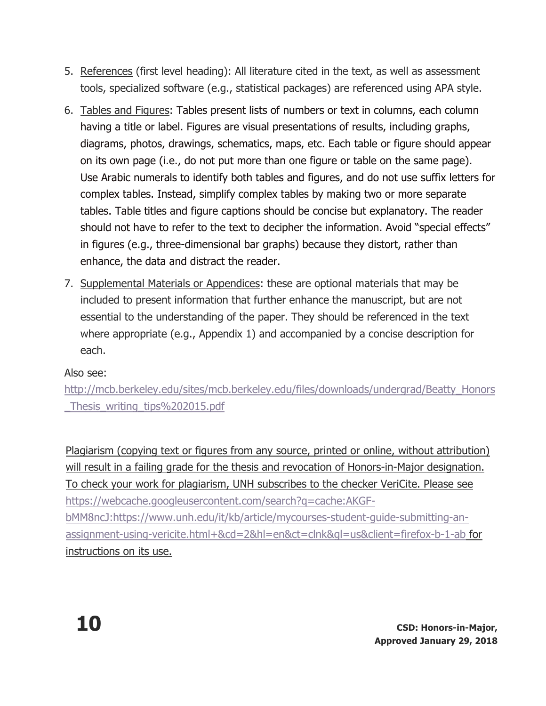- 5. References (first level heading): All literature cited in the text, as well as assessment tools, specialized software (e.g., statistical packages) are referenced using APA style.
- 6. Tables and Figures: Tables present lists of numbers or text in columns, each column having a title or label. Figures are visual presentations of results, including graphs, diagrams, photos, drawings, schematics, maps, etc. Each table or figure should appear on its own page (i.e., do not put more than one figure or table on the same page). Use Arabic numerals to identify both tables and figures, and do not use suffix letters for complex tables. Instead, simplify complex tables by making two or more separate tables. Table titles and figure captions should be concise but explanatory. The reader should not have to refer to the text to decipher the information. Avoid "special effects" in figures (e.g., three-dimensional bar graphs) because they distort, rather than enhance, the data and distract the reader.
- 7. Supplemental Materials or Appendices: these are optional materials that may be included to present information that further enhance the manuscript, but are not essential to the understanding of the paper. They should be referenced in the text where appropriate (e.g., Appendix 1) and accompanied by a concise description for each.

### Also see:

http://mcb.berkeley.edu/sites/mcb.berkeley.edu/files/downloads/undergrad/Beatty\_Honors \_Thesis\_writing\_tips%202015.pdf

Plagiarism (copying text or figures from any source, printed or online, without attribution) will result in a failing grade for the thesis and revocation of Honors-in-Major designation. To check your work for plagiarism, UNH subscribes to the checker VeriCite. Please see https://webcache.googleusercontent.com/search?q=cache:AKGFbMM8ncJ:https://www.unh.edu/it/kb/article/mycourses-student-guide-submitting-anassignment-using-vericite.html+&cd=2&hl=en&ct=clnk&gl=us&client=firefox-b-1-ab for instructions on its use.